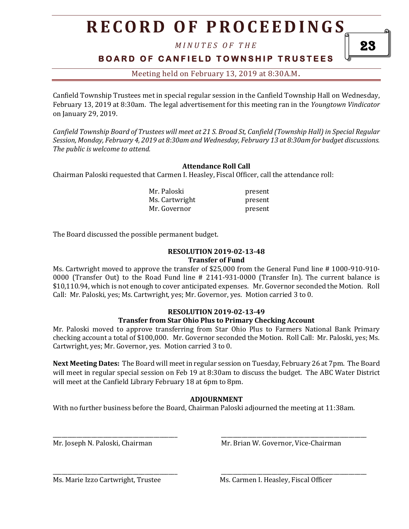# **R E C O R D O F P R O C E E D I N GS**

*M I N U T E S O F T H E* 

### **B O A R D O F C A N F I E L D T O W N S H I P T R U S T E E S**

Meeting held on February 13, 2019 at 8:30A.M**.**

Canfield Township Trustees met in special regular session in the Canfield Township Hall on Wednesday, February 13, 2019 at 8:30am. The legal advertisement for this meeting ran in the *Youngtown Vindicator* on January 29, 2019.

*Canfield Township Board of Trustees will meet at 21 S. Broad St, Canfield (Township Hall) in Special Regular Session, Monday, February 4, 2019 at 8:30am and Wednesday, February 13 at 8:30am for budget discussions. The public is welcome to attend.*

#### **Attendance Roll Call**

Chairman Paloski requested that Carmen I. Heasley, Fiscal Officer, call the attendance roll:

Mr. Paloski present Ms. Cartwright present Mr. Governor **present** 

The Board discussed the possible permanent budget.

#### **RESOLUTION 2019-02-13-48 Transfer of Fund**

Ms. Cartwright moved to approve the transfer of \$25,000 from the General Fund line # 1000-910-910- 0000 (Transfer Out) to the Road Fund line # 2141-931-0000 (Transfer In). The current balance is \$10,110.94, which is not enough to cover anticipated expenses. Mr. Governor seconded the Motion. Roll Call: Mr. Paloski, yes; Ms. Cartwright, yes; Mr. Governor, yes. Motion carried 3 to 0.

#### **RESOLUTION 2019-02-13-49**

#### **Transfer from Star Ohio Plus to Primary Checking Account**

Mr. Paloski moved to approve transferring from Star Ohio Plus to Farmers National Bank Primary checking account a total of \$100,000. Mr. Governor seconded the Motion. Roll Call: Mr. Paloski, yes; Ms. Cartwright, yes; Mr. Governor, yes. Motion carried 3 to 0.

**Next Meeting Dates:** The Board will meet in regular session on Tuesday, February 26 at 7pm. The Board will meet in regular special session on Feb 19 at 8:30am to discuss the budget. The ABC Water District will meet at the Canfield Library February 18 at 6pm to 8pm.

#### **ADJOURNMENT**

With no further business before the Board, Chairman Paloski adjourned the meeting at 11:38am.

\_\_\_\_\_\_\_\_\_\_\_\_\_\_\_\_\_\_\_\_\_\_\_\_\_\_\_\_\_\_\_\_\_\_\_\_\_\_\_\_\_\_ \_\_\_\_\_\_\_\_\_\_\_\_\_\_\_\_\_\_\_\_\_\_\_\_\_\_\_\_\_\_\_\_\_\_\_\_\_\_\_\_\_\_\_\_\_\_\_\_\_

\_\_\_\_\_\_\_\_\_\_\_\_\_\_\_\_\_\_\_\_\_\_\_\_\_\_\_\_\_\_\_\_\_\_\_\_\_\_\_\_\_\_ \_\_\_\_\_\_\_\_\_\_\_\_\_\_\_\_\_\_\_\_\_\_\_\_\_\_\_\_\_\_\_\_\_\_\_\_\_\_\_\_\_\_\_\_\_\_\_\_\_

Mr. Joseph N. Paloski, Chairman Mr. Brian W. Governor, Vice-Chairman

23